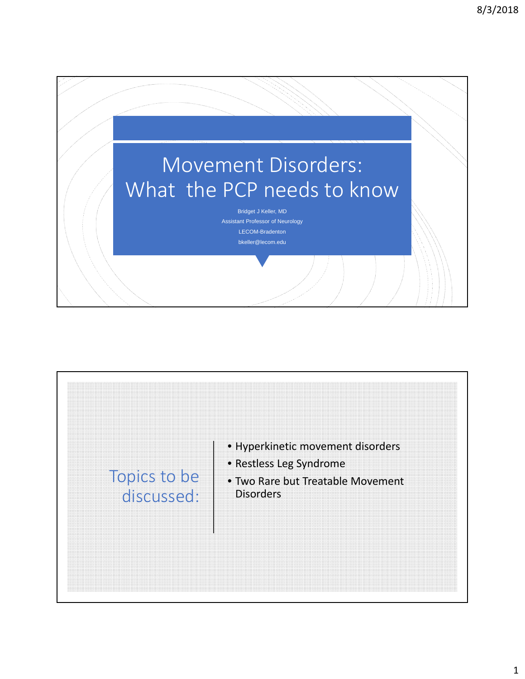

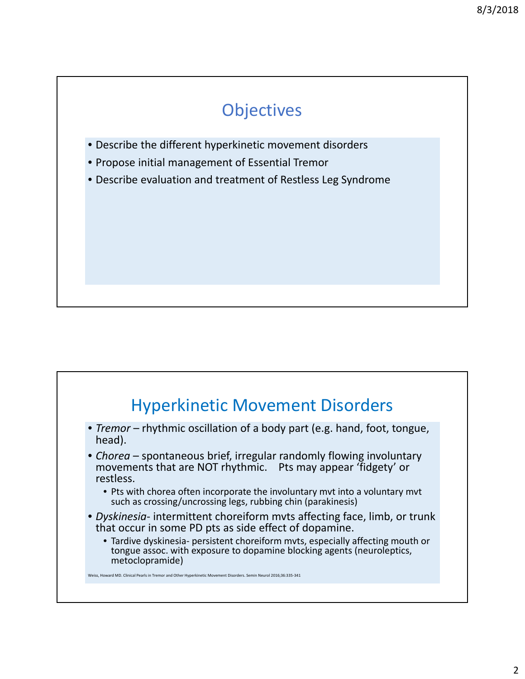## **Objectives**

- Describe the different hyperkinetic movement disorders
- Propose initial management of Essential Tremor
- Describe evaluation and treatment of Restless Leg Syndrome

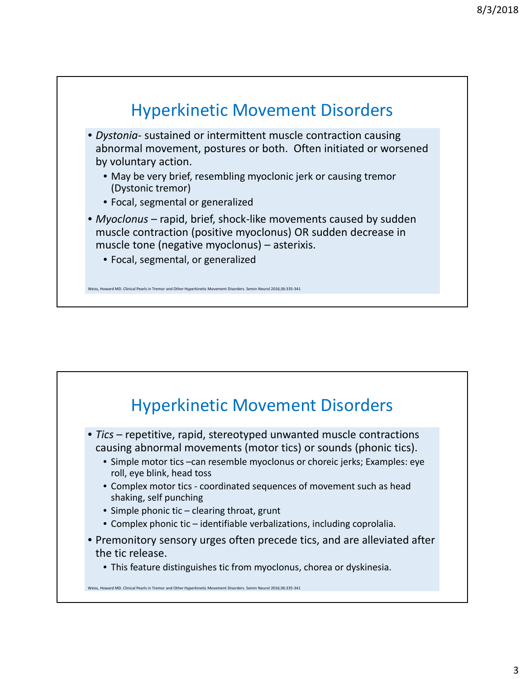

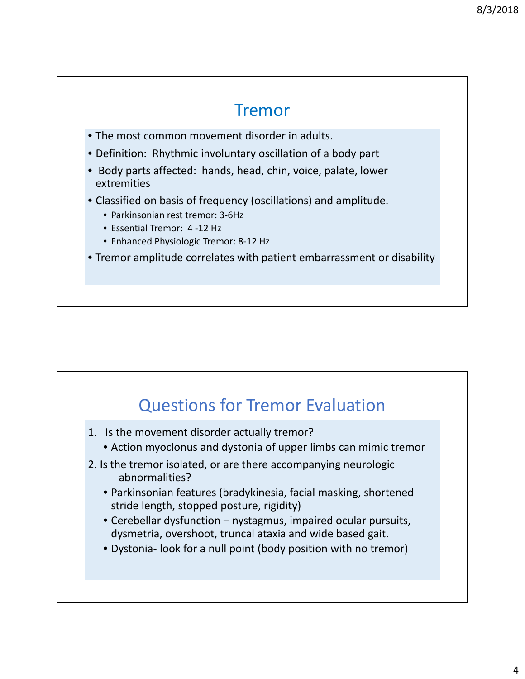#### Tremor

- The most common movement disorder in adults.
- Definition: Rhythmic involuntary oscillation of a body part
- Body parts affected: hands, head, chin, voice, palate, lower extremities
- Classified on basis of frequency (oscillations) and amplitude.
	- Parkinsonian rest tremor: 3‐6Hz
	- Essential Tremor: 4 ‐12 Hz
	- Enhanced Physiologic Tremor: 8‐12 Hz
- Tremor amplitude correlates with patient embarrassment or disability

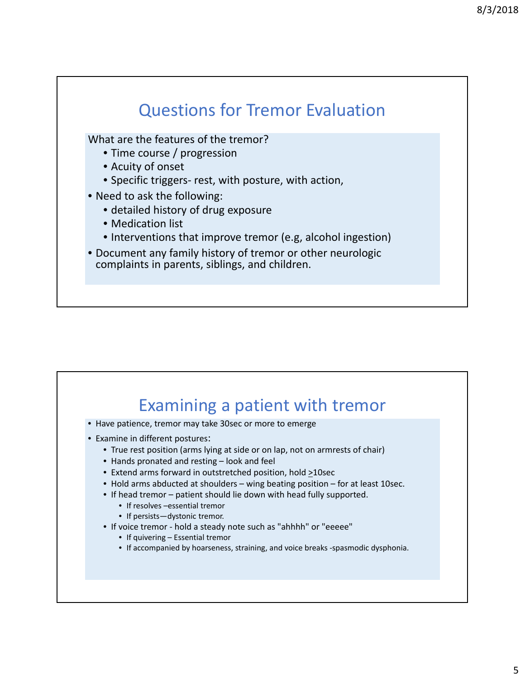

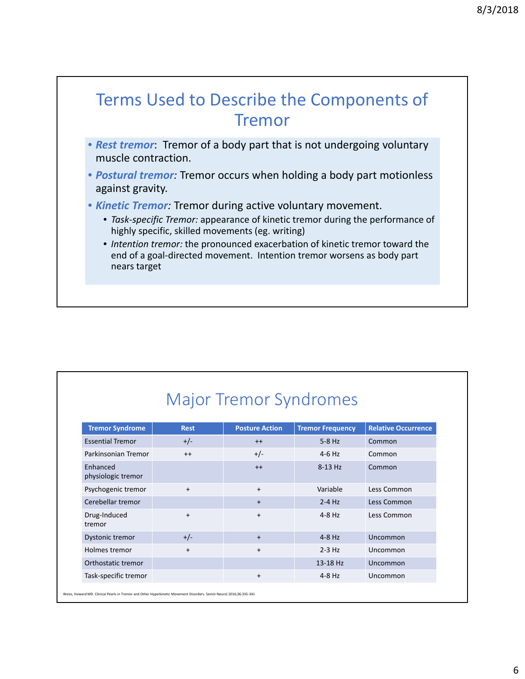

- *Rest tremor*: Tremor of a body part that is not undergoing voluntary muscle contraction.
- *Postural tremor:* Tremor occurs when holding a body part motionless against gravity.
- *Kinetic Tremor:* Tremor during active voluntary movement.
	- *Task‐specific Tremor:* appearance of kinetic tremor during the performance of highly specific, skilled movements (eg. writing)
	- *Intention tremor:* the pronounced exacerbation of kinetic tremor toward the end of a goal-directed movement. Intention tremor worsens as body part nears target

| <b>Tremor Syndrome</b>         | <b>Rest</b> | <b>Posture Action</b> | <b>Tremor Frequency</b> | <b>Relative Occurrence</b> |
|--------------------------------|-------------|-----------------------|-------------------------|----------------------------|
| <b>Essential Tremor</b>        | $+/-$       | $++$                  | $5-8$ Hz                | Common                     |
| Parkinsonian Tremor            | $++$        | $+/-$                 | $4-6$ Hz                | Common                     |
| Enhanced<br>physiologic tremor |             | $++$                  | 8-13 Hz                 | Common                     |
| Psychogenic tremor             | $\ddot{}$   | $+$                   | Variable                | Less Common                |
| Cerebellar tremor              |             | $+$                   | $2-4$ Hz                | Less Common                |
| Drug-Induced<br>tremor         | $\ddot{}$   | $+$                   | $4-8$ Hz                | Less Common                |
| Dystonic tremor                | $+/-$       | $\ddot{}$             | $4-8$ Hz                | Uncommon                   |
| Holmes tremor                  | $\ddot{}$   | $\ddot{}$             | $2-3$ Hz                | Uncommon                   |
| Orthostatic tremor             |             |                       | 13-18 Hz                | Uncommon                   |
| Task-specific tremor           |             | $\ddot{}$             | $4-8$ Hz                | Uncommon                   |

## Major Tremor Syndromes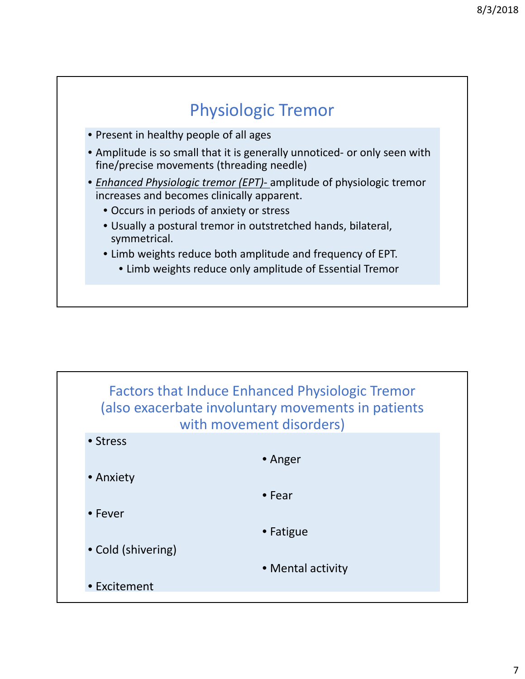

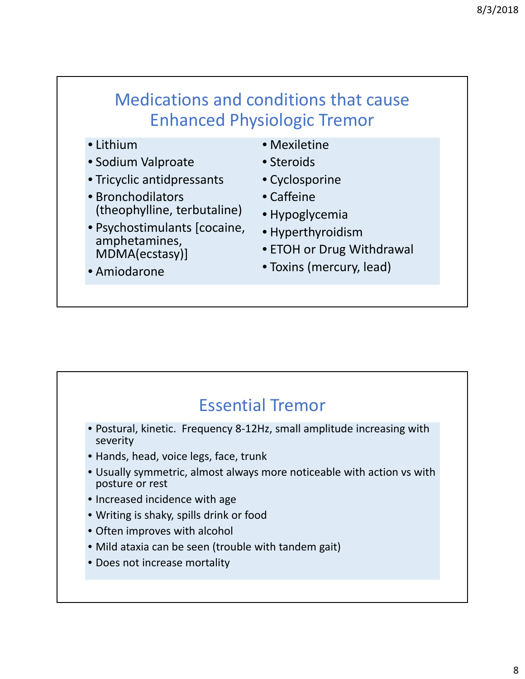# Medications and conditions that cause Enhanced Physiologic Tremor

- Lithium
- Sodium Valproate
- Tricyclic antidpressants
- Bronchodilators (theophylline, terbutaline)
- Psychostimulants [cocaine, amphetamines, MDMA(ecstasy)]
- Mexiletine
- Steroids
- Cyclosporine
- Caffeine
- Hypoglycemia
- Hyperthyroidism
- ETOH or Drug Withdrawal
- Toxins (mercury, lead)

#### • Amiodarone

## Essential Tremor

- Postural, kinetic. Frequency 8‐12Hz, small amplitude increasing with severity
- Hands, head, voice legs, face, trunk
- Usually symmetric, almost always more noticeable with action vs with posture or rest
- Increased incidence with age
- Writing is shaky, spills drink or food
- Often improves with alcohol
- Mild ataxia can be seen (trouble with tandem gait)
- Does not increase mortality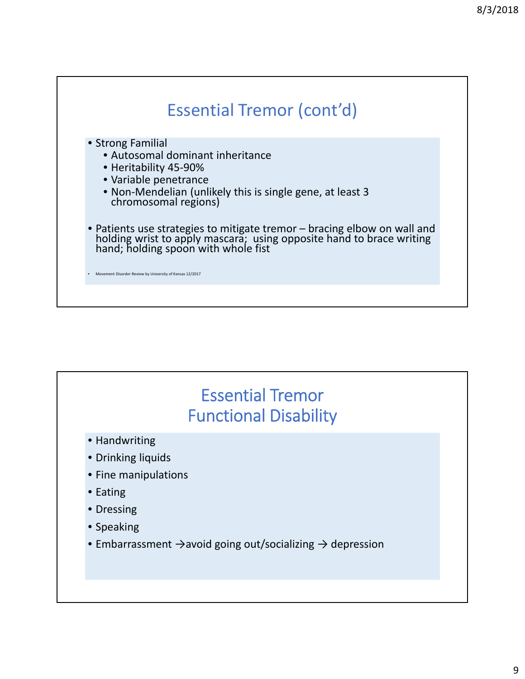

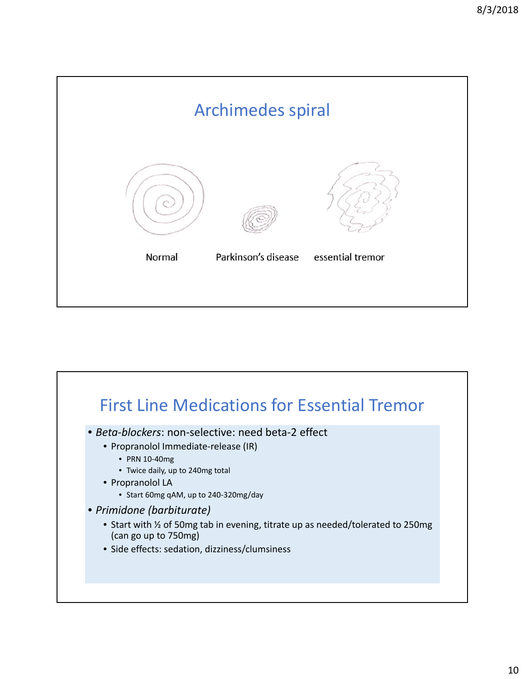

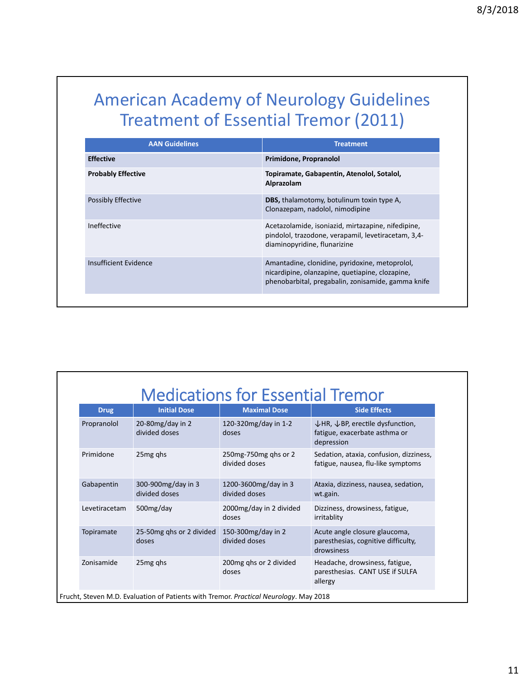# American Academy of Neurology Guidelines Treatment of Essential Tremor (2011)

| <b>AAN Guidelines</b>     | <b>Treatment</b>                                                                                                                                        |
|---------------------------|---------------------------------------------------------------------------------------------------------------------------------------------------------|
| <b>Effective</b>          | Primidone, Propranolol                                                                                                                                  |
| <b>Probably Effective</b> | Topiramate, Gabapentin, Atenolol, Sotalol,<br>Alprazolam                                                                                                |
| Possibly Effective        | <b>DBS, thalamotomy, botulinum toxin type A,</b><br>Clonazepam, nadolol, nimodipine                                                                     |
| Ineffective               | Acetazolamide, isoniazid, mirtazapine, nifedipine,<br>pindolol, trazodone, verapamil, levetiracetam, 3,4-<br>diaminopyridine, flunarizine               |
| Insufficient Evidence     | Amantadine, clonidine, pyridoxine, metoprolol,<br>nicardipine, olanzapine, quetiapine, clozapine,<br>phenobarbital, pregabalin, zonisamide, gamma knife |

| <b>Drug</b>   | <b>Initial Dose</b>                  | <b>Maximal Dose</b>                   | <b>Side Effects</b>                                                                                    |
|---------------|--------------------------------------|---------------------------------------|--------------------------------------------------------------------------------------------------------|
| Propranolol   | 20-80 $mg$ /day in 2<br>azob behivib | 120-320mg/day in 1-2<br>doses         | $\downarrow$ HR, $\downarrow$ BP, erectile dysfunction,<br>fatigue, exacerbate asthma or<br>depression |
| Primidone     | 25 <sub>mg</sub> qhs                 | 250 mg-750 mg qhs or 2<br>and hebivib | Sedation, ataxia, confusion, dizziness,<br>fatigue, nausea, flu-like symptoms                          |
| Gabapentin    | 300-900mg/day in 3<br>divided doses  | 1200-3600mg/day in 3<br>divided doses | Ataxia, dizziness, nausea, sedation,<br>wt.gain.                                                       |
| Levetiracetam | 500mg/day                            | 2000mg/day in 2 divided<br>doses      | Dizziness, drowsiness, fatigue,<br>irritablity                                                         |
| Topiramate    | 25-50mg qhs or 2 divided<br>doses    | 150-300mg/day in 2<br>and hebivib     | Acute angle closure glaucoma,<br>paresthesias, cognitive difficulty,<br>drowsiness                     |
| Zonisamide    | 25 <sub>mg</sub> qhs                 | 200mg ghs or 2 divided<br>doses       | Headache, drowsiness, fatigue,<br>paresthesias. CANT USE if SULFA<br>allergy                           |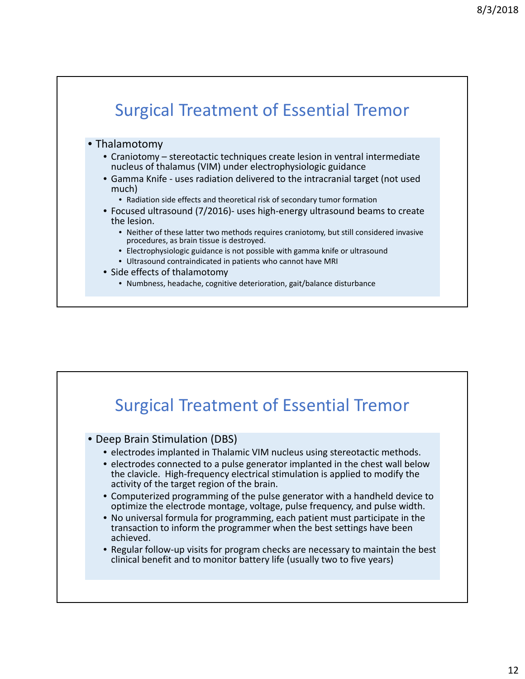

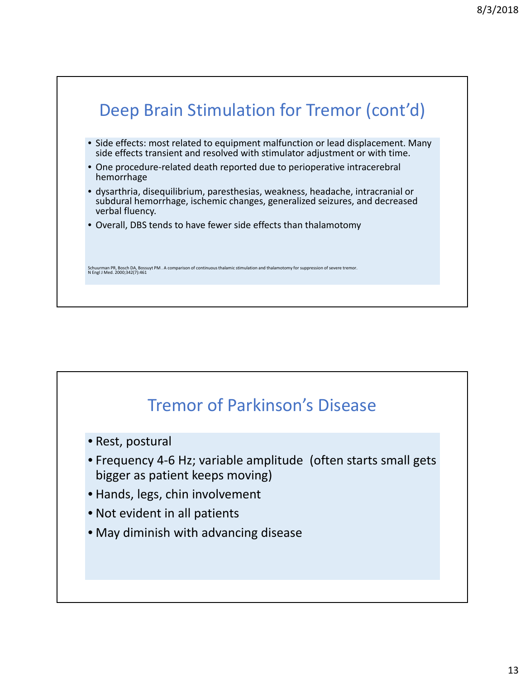

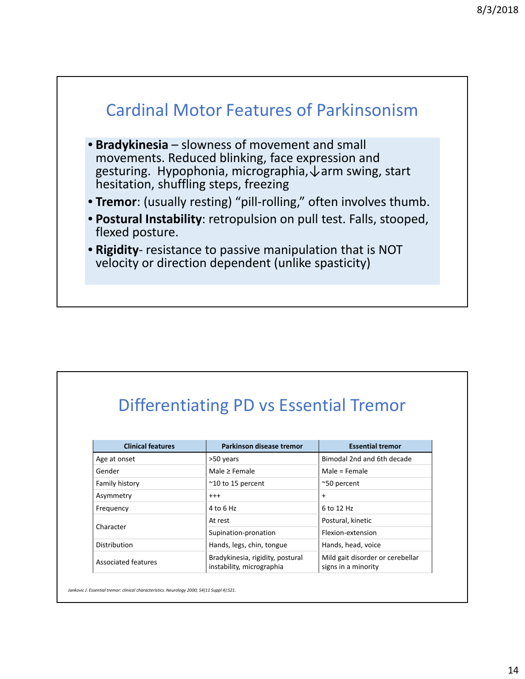

# Differentiating PD vs Essential Tremor

| <b>Clinical features</b> | Parkinson disease tremor                                      | <b>Essential tremor</b>                                 |
|--------------------------|---------------------------------------------------------------|---------------------------------------------------------|
| Age at onset             | >50 years                                                     | Bimodal 2nd and 6th decade                              |
| Gender                   | Male > Female                                                 | Male = Female                                           |
| Family history           | $~^{\sim}$ 10 to 15 percent                                   | $^{\sim}$ 50 percent                                    |
| Asymmetry                | $^{++}$                                                       | $\ddot{}$                                               |
| Frequency                | 4 to 6 Hz                                                     | 6 to 12 Hz                                              |
|                          | At rest                                                       | Postural, kinetic                                       |
| Character                | Supination-pronation                                          | Flexion-extension                                       |
| Distribution             | Hands, legs, chin, tongue                                     | Hands, head, voice                                      |
| Associated features      | Bradykinesia, rigidity, postural<br>instability, micrographia | Mild gait disorder or cerebellar<br>signs in a minority |

*Jankovic J. Essential tremor: clinical characteristics. Neurology 2000; 54(11 Suppl 4):S21.*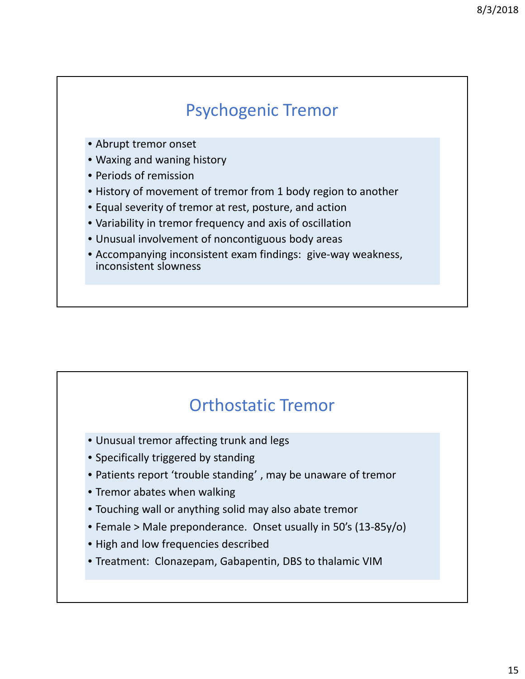## Psychogenic Tremor

- Abrupt tremor onset
- Waxing and waning history
- Periods of remission
- History of movement of tremor from 1 body region to another
- Equal severity of tremor at rest, posture, and action
- Variability in tremor frequency and axis of oscillation
- Unusual involvement of noncontiguous body areas
- Accompanying inconsistent exam findings: give-way weakness, inconsistent slowness

#### Orthostatic Tremor

- Unusual tremor affecting trunk and legs
- Specifically triggered by standing
- Patients report 'trouble standing' , may be unaware of tremor
- Tremor abates when walking
- Touching wall or anything solid may also abate tremor
- Female > Male preponderance. Onset usually in 50's (13‐85y/o)
- High and low frequencies described
- Treatment: Clonazepam, Gabapentin, DBS to thalamic VIM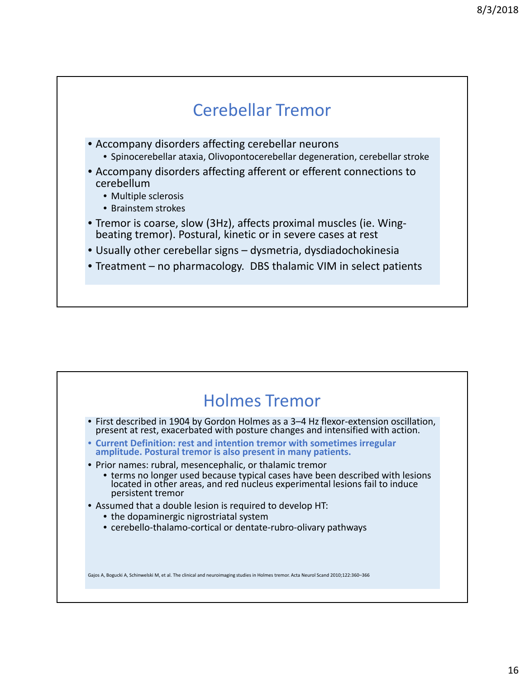

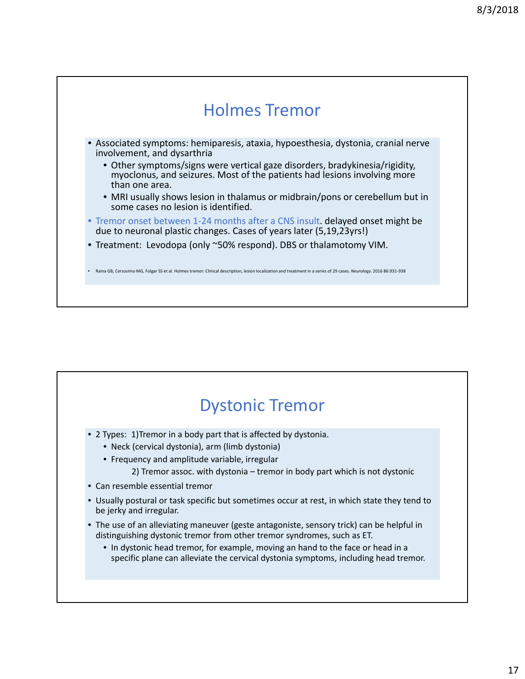

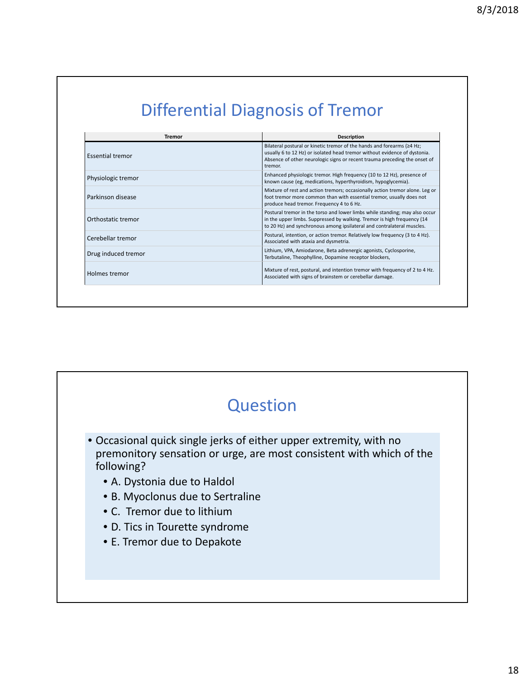| <b>Description</b>                                                                                                                                                                                                                                 |
|----------------------------------------------------------------------------------------------------------------------------------------------------------------------------------------------------------------------------------------------------|
| Bilateral postural or kinetic tremor of the hands and forearms ( $\geq 4$ Hz;<br>usually 6 to 12 Hz) or isolated head tremor without evidence of dystonia.<br>Absence of other neurologic signs or recent trauma preceding the onset of<br>tremor. |
| Enhanced physiologic tremor. High frequency (10 to 12 Hz), presence of<br>known cause (eg, medications, hyperthyroidism, hypoglycemia).                                                                                                            |
| Mixture of rest and action tremors; occasionally action tremor alone. Leg or<br>foot tremor more common than with essential tremor, usually does not<br>produce head tremor. Frequency 4 to 6 Hz.                                                  |
| Postural tremor in the torso and lower limbs while standing; may also occur<br>in the upper limbs. Suppressed by walking. Tremor is high frequency (14<br>to 20 Hz) and synchronous among ipsilateral and contralateral muscles.                   |
| Postural, intention, or action tremor. Relatively low frequency (3 to 4 Hz).<br>Associated with ataxia and dysmetria.                                                                                                                              |
| Lithium, VPA, Amiodarone, Beta adrenergic agonists, Cyclosporine,<br>Terbutaline, Theophylline, Dopamine receptor blockers,                                                                                                                        |
| Mixture of rest, postural, and intention tremor with frequency of 2 to 4 Hz.<br>Associated with signs of brainstem or cerebellar damage.                                                                                                           |
|                                                                                                                                                                                                                                                    |

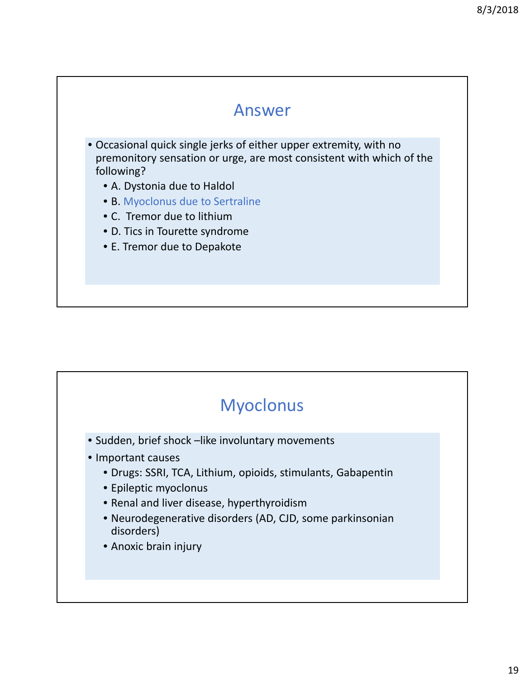

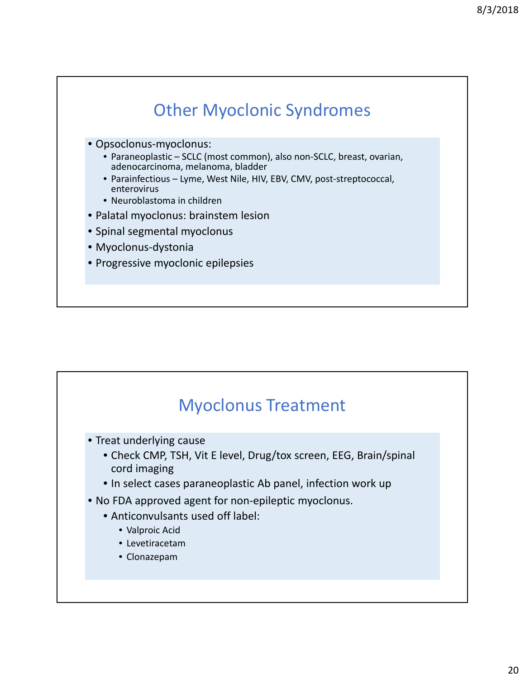

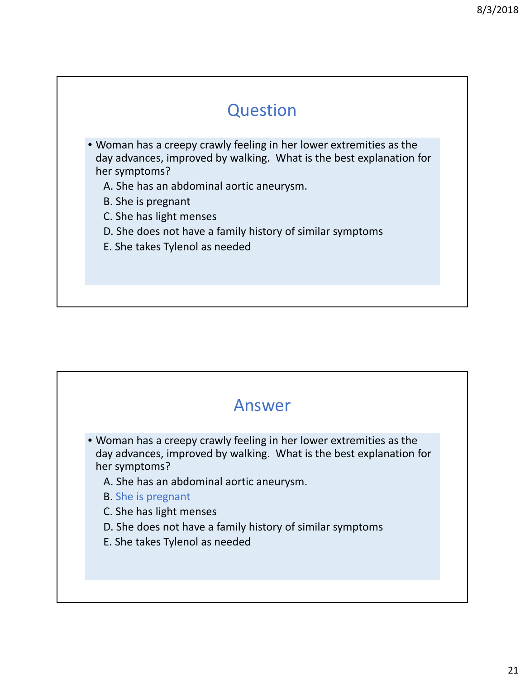#### **Question**

- Woman has a creepy crawly feeling in her lower extremities as the day advances, improved by walking. What is the best explanation for her symptoms?
	- A. She has an abdominal aortic aneurysm.
	- B. She is pregnant
	- C. She has light menses
	- D. She does not have a family history of similar symptoms
	- E. She takes Tylenol as needed

#### Answer

- Woman has a creepy crawly feeling in her lower extremities as the day advances, improved by walking. What is the best explanation for her symptoms?
	- A. She has an abdominal aortic aneurysm.
	- B. She is pregnant
	- C. She has light menses
	- D. She does not have a family history of similar symptoms
	- E. She takes Tylenol as needed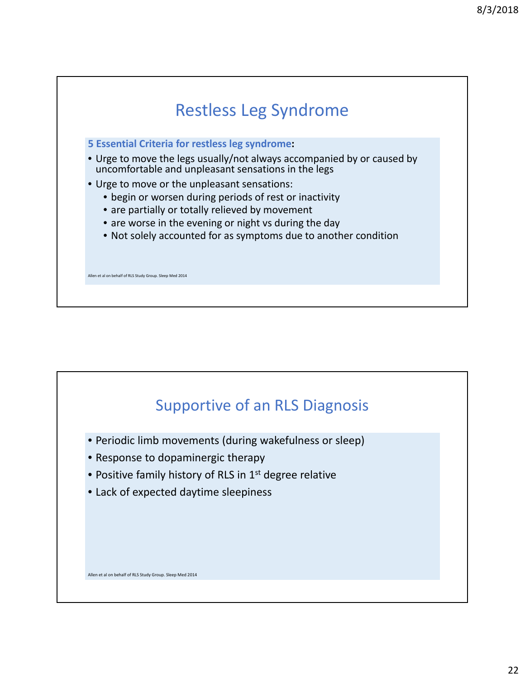

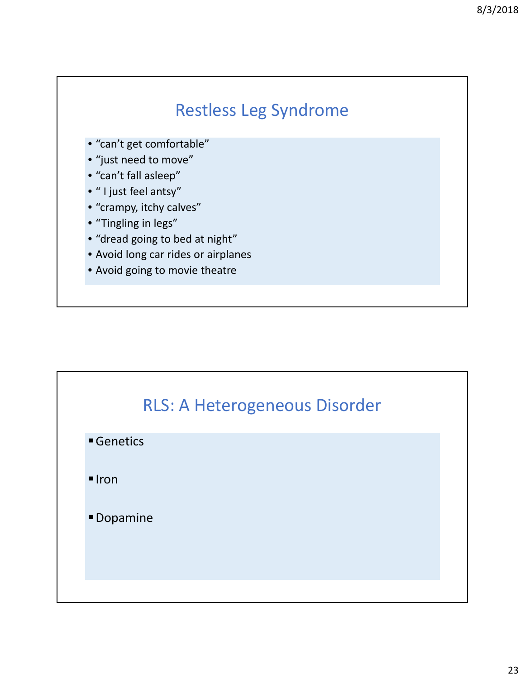

- "can't get comfortable"
- "just need to move"
- "can't fall asleep"
- " I just feel antsy"
- "crampy, itchy calves"
- "Tingling in legs"
- "dread going to bed at night"
- Avoid long car rides or airplanes
- Avoid going to movie theatre

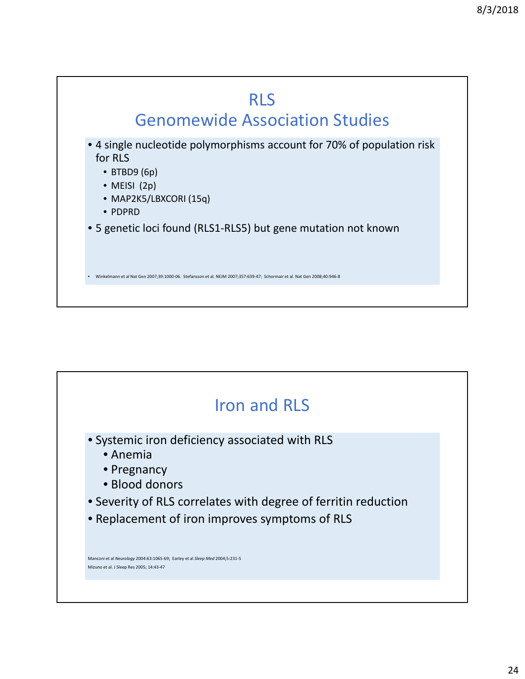

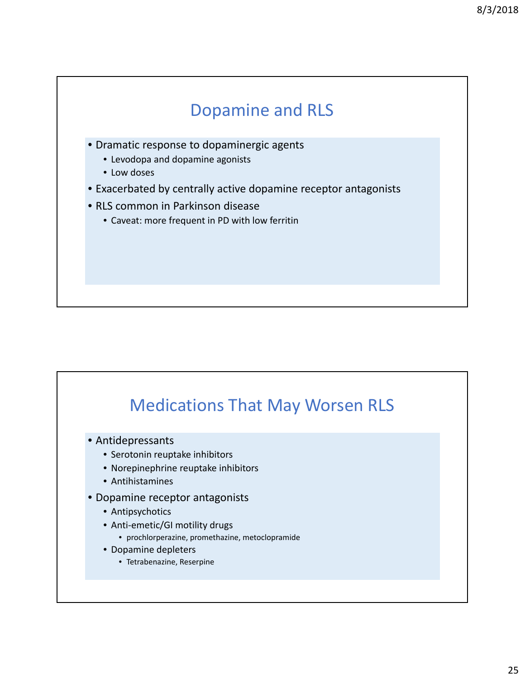

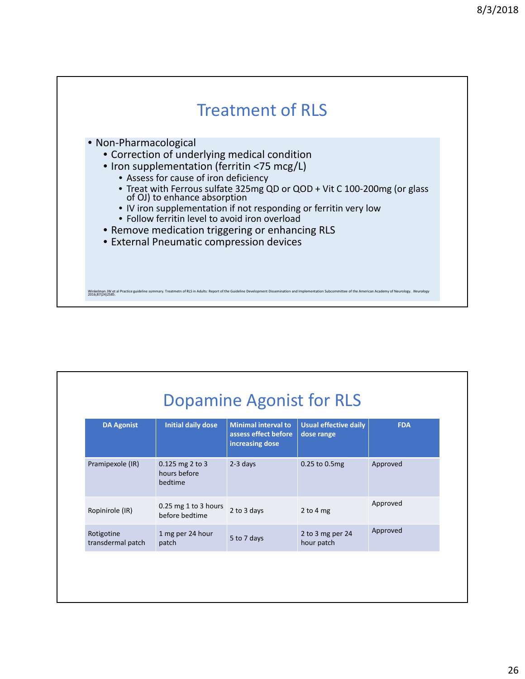

| <b>DA Agonist</b>               | <b>Initial daily dose</b>                  | <b>Minimal interval to</b><br>assess effect before<br>increasing dose | <b>Usual effective daily</b><br>dose range | <b>FDA</b> |
|---------------------------------|--------------------------------------------|-----------------------------------------------------------------------|--------------------------------------------|------------|
| Pramipexole (IR)                | 0.125 mg 2 to 3<br>hours before<br>bedtime | 2-3 days                                                              | 0.25 to 0.5mg                              | Approved   |
| Ropinirole (IR)                 | $0.25$ mg 1 to 3 hours<br>before bedtime   | 2 to 3 days                                                           | 2 to 4 mg                                  | Approved   |
| Rotigotine<br>transdermal patch | 1 mg per 24 hour<br>patch                  | 5 to 7 days                                                           | 2 to 3 mg per 24<br>hour patch             | Approved   |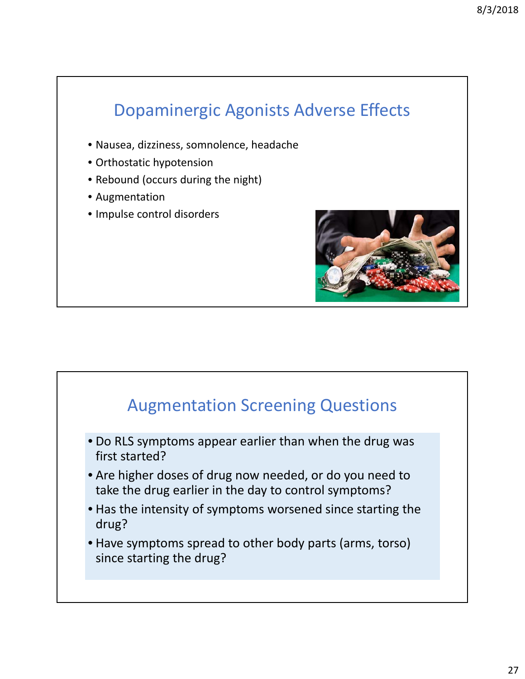# Dopaminergic Agonists Adverse Effects

- Nausea, dizziness, somnolence, headache
- Orthostatic hypotension
- Rebound (occurs during the night)
- Augmentation
- Impulse control disorders



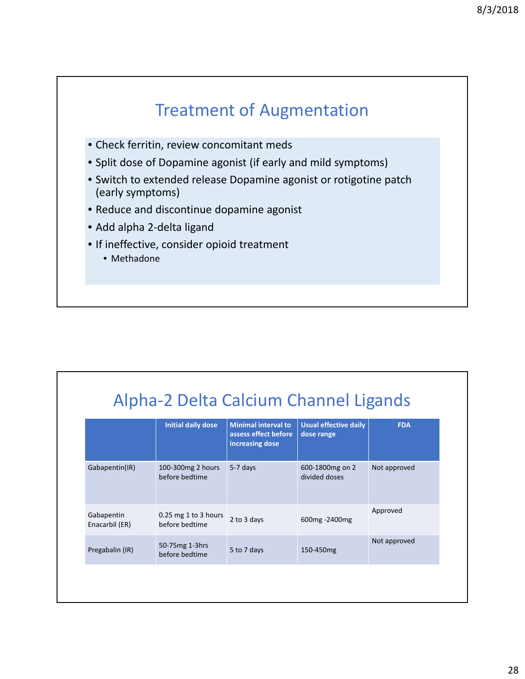

| Alpha-2 Delta Calcium Channel Ligands |  |  |  |  |
|---------------------------------------|--|--|--|--|
|---------------------------------------|--|--|--|--|

|                              |                                          | increasing dose |                                  |              |
|------------------------------|------------------------------------------|-----------------|----------------------------------|--------------|
| Gabapentin(IR)               | 100-300mg 2 hours<br>before bedtime      | 5-7 days        | 600-1800mg on 2<br>divided doses | Not approved |
| Gabapentin<br>Enacarbil (ER) | $0.25$ mg 1 to 3 hours<br>before bedtime | 2 to 3 days     | 600mg -2400mg                    | Approved     |
| Pregabalin (IR)              | 50-75mg 1-3hrs<br>before bedtime         | 5 to 7 days     | 150-450mg                        | Not approved |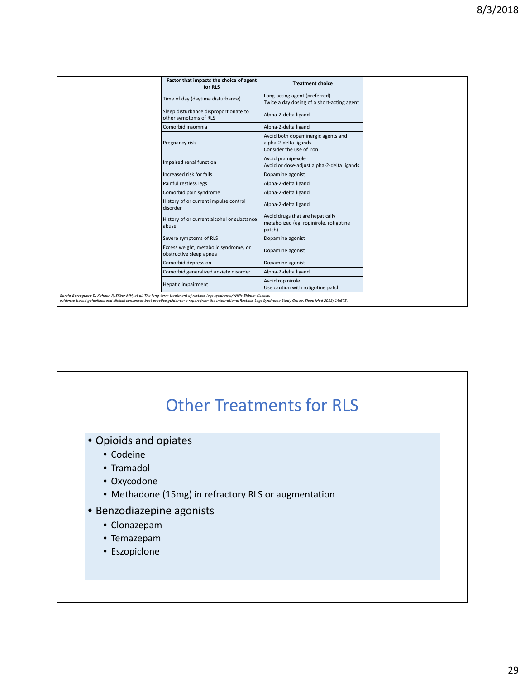| Factor that impacts the choice of agent<br>for RLS                                                                                                                                                                                                                                               | <b>Treatment choice</b>                                                                 |
|--------------------------------------------------------------------------------------------------------------------------------------------------------------------------------------------------------------------------------------------------------------------------------------------------|-----------------------------------------------------------------------------------------|
| Time of day (daytime disturbance)                                                                                                                                                                                                                                                                | Long-acting agent (preferred)<br>Twice a day dosing of a short-acting agent             |
| Sleep disturbance disproportionate to<br>other symptoms of RLS                                                                                                                                                                                                                                   | Alpha-2-delta ligand                                                                    |
| Comorbid insomnia                                                                                                                                                                                                                                                                                | Alpha-2-delta ligand                                                                    |
| Pregnancy risk                                                                                                                                                                                                                                                                                   | Avoid both dopaminergic agents and<br>alpha-2-delta ligands<br>Consider the use of iron |
| Impaired renal function                                                                                                                                                                                                                                                                          | Avoid pramipexole<br>Avoid or dose-adjust alpha-2-delta ligands                         |
| Increased risk for falls                                                                                                                                                                                                                                                                         | Dopamine agonist                                                                        |
| Painful restless legs                                                                                                                                                                                                                                                                            | Alpha-2-delta ligand                                                                    |
| Comorbid pain syndrome                                                                                                                                                                                                                                                                           | Alpha-2-delta ligand                                                                    |
| History of or current impulse control<br>disorder                                                                                                                                                                                                                                                | Alpha-2-delta ligand                                                                    |
| History of or current alcohol or substance<br>abuse                                                                                                                                                                                                                                              | Avoid drugs that are hepatically<br>metabolized (eg, ropinirole, rotigotine<br>patch)   |
| Severe symptoms of RLS                                                                                                                                                                                                                                                                           | Dopamine agonist                                                                        |
| Excess weight, metabolic syndrome, or<br>obstructive sleep apnea                                                                                                                                                                                                                                 | Dopamine agonist                                                                        |
| Comorbid depression                                                                                                                                                                                                                                                                              | Dopamine agonist                                                                        |
| Comorbid generalized anxiety disorder                                                                                                                                                                                                                                                            | Alpha-2-delta ligand                                                                    |
| Hepatic impairment                                                                                                                                                                                                                                                                               | Avoid ropinirole<br>Use caution with rotigotine patch                                   |
| Garcia-Borrequero D, Kohnen R, Silber MH, et al. The long-term treatment of restless legs syndrome/Willis-Ekbom disease:<br>evidence-based quidelines and clinical consensus best practice quidance: a report from the International Restless Legs Syndrome Study Group. Sleep Med 2013; 14:675. |                                                                                         |

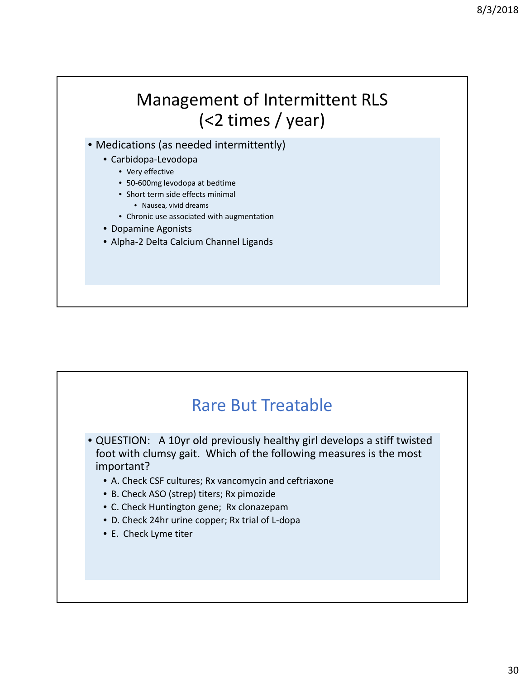

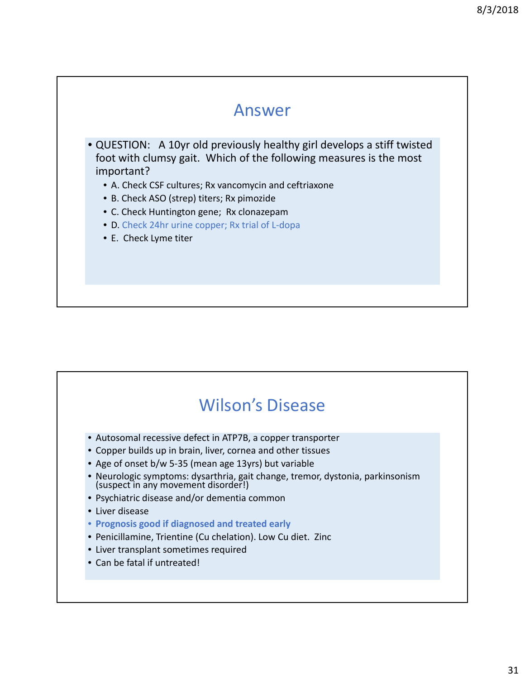

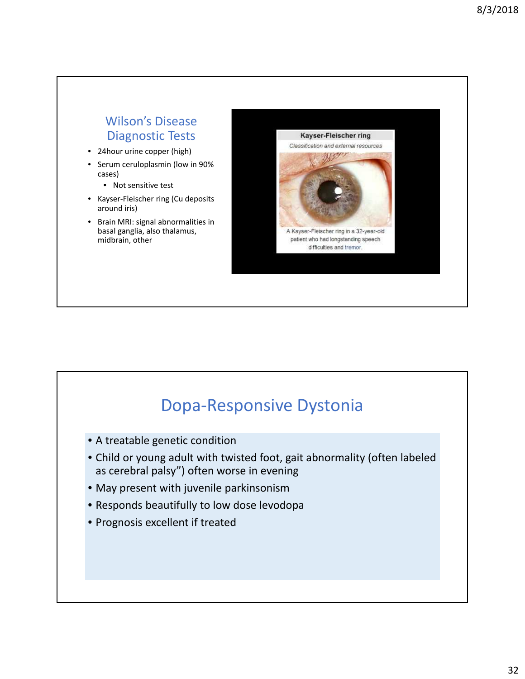#### Wilson's Disease Diagnostic Tests

- 24hour urine copper (high)
- Serum ceruloplasmin (low in 90% cases)
	- Not sensitive test
- Kayser‐Fleischer ring (Cu deposits around iris)
- Brain MRI: signal abnormalities in basal ganglia, also thalamus, midbrain, other



#### Dopa‐Responsive Dystonia

- A treatable genetic condition
- Child or young adult with twisted foot, gait abnormality (often labeled as cerebral palsy") often worse in evening
- May present with juvenile parkinsonism
- Responds beautifully to low dose levodopa
- Prognosis excellent if treated